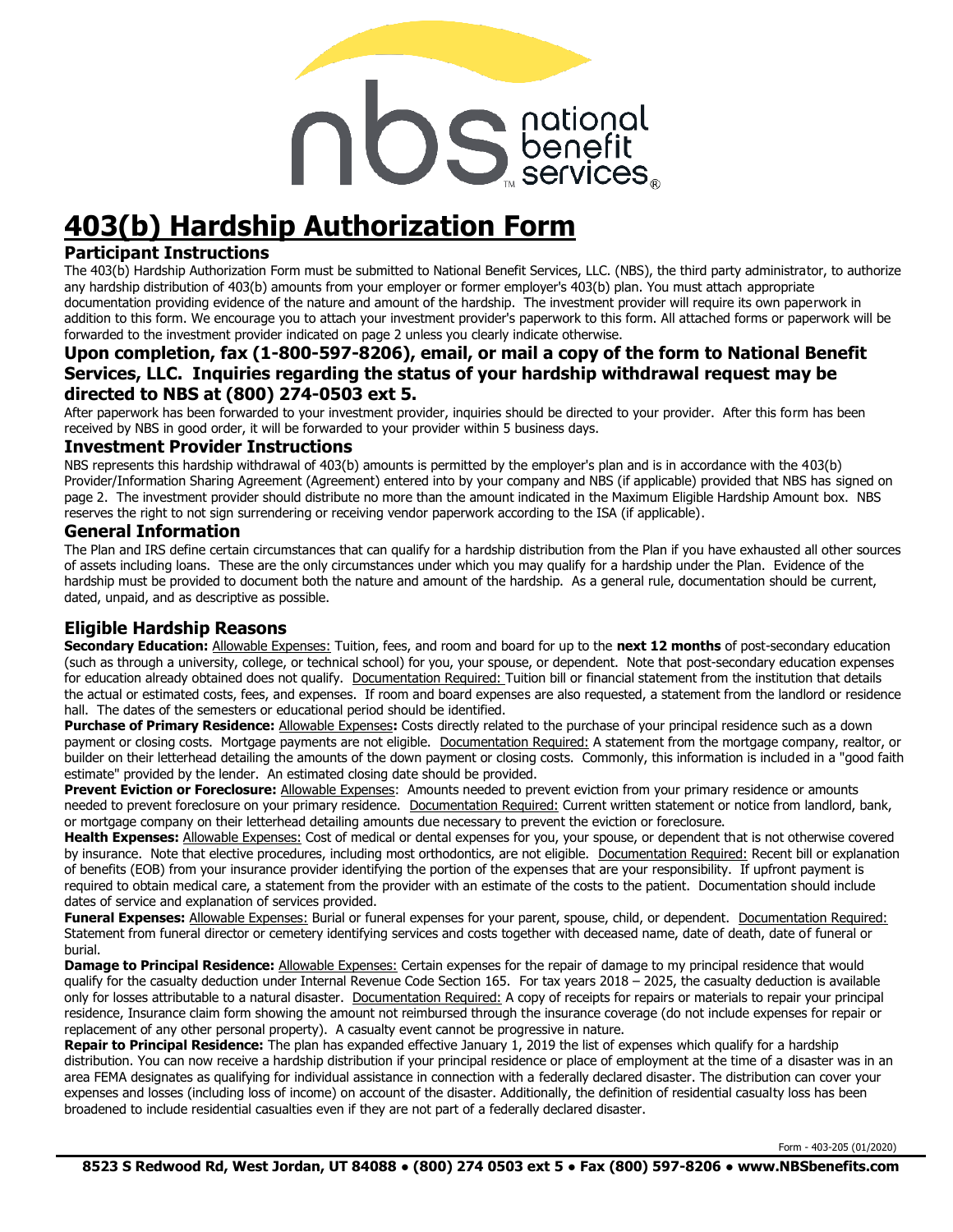# nbenefit

# **403(b) Hardship Authorization Form**

#### **Participant Instructions**

The 403(b) Hardship Authorization Form must be submitted to National Benefit Services, LLC. (NBS), the third party administrator, to authorize any hardship distribution of 403(b) amounts from your employer or former employer's 403(b) plan. You must attach appropriate documentation providing evidence of the nature and amount of the hardship. The investment provider will require its own paperwork in addition to this form. We encourage you to attach your investment provider's paperwork to this form. All attached forms or paperwork will be forwarded to the investment provider indicated on page 2 unless you clearly indicate otherwise.

#### **Upon completion, fax (1-800-597-8206), email, or mail a copy of the form to National Benefit Services, LLC. Inquiries regarding the status of your hardship withdrawal request may be directed to NBS at (800) 274-0503 ext 5.**

After paperwork has been forwarded to your investment provider, inquiries should be directed to your provider. After this form has been received by NBS in good order, it will be forwarded to your provider within 5 business days.

#### **Investment Provider Instructions**

NBS represents this hardship withdrawal of 403(b) amounts is permitted by the employer's plan and is in accordance with the 403(b) Provider/Information Sharing Agreement (Agreement) entered into by your company and NBS (if applicable) provided that NBS has signed on page 2. The investment provider should distribute no more than the amount indicated in the Maximum Eligible Hardship Amount box. NBS reserves the right to not sign surrendering or receiving vendor paperwork according to the ISA (if applicable).

#### **General Information**

The Plan and IRS define certain circumstances that can qualify for a hardship distribution from the Plan if you have exhausted all other sources of assets including loans. These are the only circumstances under which you may qualify for a hardship under the Plan. Evidence of the hardship must be provided to document both the nature and amount of the hardship. As a general rule, documentation should be current, dated, unpaid, and as descriptive as possible.

#### **Eligible Hardship Reasons**

**Secondary Education:** Allowable Expenses: Tuition, fees, and room and board for up to the **next 12 months** of post-secondary education (such as through a university, college, or technical school) for you, your spouse, or dependent. Note that post-secondary education expenses for education already obtained does not qualify. Documentation Required: Tuition bill or financial statement from the institution that details the actual or estimated costs, fees, and expenses. If room and board expenses are also requested, a statement from the landlord or residence hall. The dates of the semesters or educational period should be identified.

**Purchase of Primary Residence:** Allowable Expenses**:** Costs directly related to the purchase of your principal residence such as a down payment or closing costs. Mortgage payments are not eligible. Documentation Required: A statement from the mortgage company, realtor, or builder on their letterhead detailing the amounts of the down payment or closing costs. Commonly, this information is included in a "good faith estimate" provided by the lender. An estimated closing date should be provided.

**Prevent Eviction or Foreclosure:** Allowable Expenses: Amounts needed to prevent eviction from your primary residence or amounts needed to prevent foreclosure on your primary residence. Documentation Required: Current written statement or notice from landlord, bank, or mortgage company on their letterhead detailing amounts due necessary to prevent the eviction or foreclosure.

**Health Expenses:** Allowable Expenses: Cost of medical or dental expenses for you, your spouse, or dependent that is not otherwise covered by insurance. Note that elective procedures, including most orthodontics, are not eligible. Documentation Required: Recent bill or explanation of benefits (EOB) from your insurance provider identifying the portion of the expenses that are your responsibility. If upfront payment is required to obtain medical care, a statement from the provider with an estimate of the costs to the patient. Documentation should include dates of service and explanation of services provided.

Funeral Expenses: Allowable Expenses: Burial or funeral expenses for your parent, spouse, child, or dependent. Documentation Required: Statement from funeral director or cemetery identifying services and costs together with deceased name, date of death, date of funeral or burial.

**Damage to Principal Residence:** Allowable Expenses: Certain expenses for the repair of damage to my principal residence that would qualify for the casualty deduction under Internal Revenue Code Section 165. For tax years 2018 – 2025, the casualty deduction is available only for losses attributable to a natural disaster. Documentation Required: A copy of receipts for repairs or materials to repair your principal residence, Insurance claim form showing the amount not reimbursed through the insurance coverage (do not include expenses for repair or replacement of any other personal property). A casualty event cannot be progressive in nature.

**Repair to Principal Residence:** The plan has expanded effective January 1, 2019 the list of expenses which qualify for a hardship distribution. You can now receive a hardship distribution if your principal residence or place of employment at the time of a disaster was in an area FEMA designates as qualifying for individual assistance in connection with a federally declared disaster. The distribution can cover your expenses and losses (including loss of income) on account of the disaster. Additionally, the definition of residential casualty loss has been broadened to include residential casualties even if they are not part of a federally declared disaster.

Form - 403-205 (01/2020)